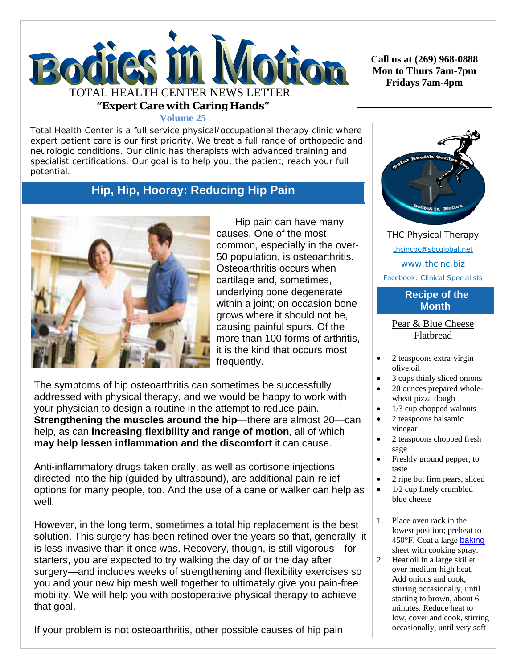

**Volume 25**

Total Health Center is a full service physical/occupational therapy clinic where expert patient care is our first priority. We treat a full range of orthopedic and neurologic conditions. Our clinic has therapists with advanced training and specialist certifications. Our goal is to help you, the patient, reach your full potential.

# **Hip, Hip, Hooray: Reducing Hip Pain**



Hip pain can have many causes. One of the most common, especially in the over-50 population, is osteoarthritis. Osteoarthritis occurs when cartilage and, sometimes, underlying bone degenerate within a joint; on occasion bone grows where it should not be, causing painful spurs. Of the more than 100 forms of arthritis, it is the kind that occurs most frequently.

The symptoms of hip osteoarthritis can sometimes be successfully addressed with physical therapy, and we would be happy to work with your physician to design a routine in the attempt to reduce pain. **Strengthening the muscles around the hip**—there are almost 20—can help, as can **increasing flexibility and range of motion**, all of which **may help lessen inflammation and the discomfort** it can cause.

Anti-inflammatory drugs taken orally, as well as cortisone injections directed into the hip (guided by ultrasound), are additional pain-relief options for many people, too. And the use of a cane or walker can help as well.

However, in the long term, sometimes a total hip replacement is the best solution. This surgery has been refined over the years so that, generally, it is less invasive than it once was. Recovery, though, is still vigorous—for starters, you are expected to try walking the day of or the day after surgery—and includes weeks of strengthening and flexibility exercises so you and your new hip mesh well together to ultimately give you pain-free mobility. We will help you with postoperative physical therapy to achieve that goal.

If your problem is not osteoarthritis, other possible causes of hip pain

**Call us at (269) 968-0888 Mon to Thurs 7am-7pm Fridays 7am-4pm** 



THC Physical Therapy thcincbc@sbcglobal.net www.thcinc.biz Facebook: Clinical Specialists

## **Recipe of the Month**

Pear & Blue Cheese Flatbread

- 2 teaspoons extra-virgin olive oil
- 3 cups thinly sliced onions
- 20 ounces prepared wholewheat pizza dough
- $\bullet$  1/3 cup chopped walnuts
- 2 teaspoons balsamic vinegar
- 2 teaspoons chopped fresh sage
- Freshly ground pepper, to taste
- 2 ripe but firm pears, sliced
- 1/2 cup finely crumbled blue cheese
- 1. Place oven rack in the lowest position; preheat to 450°F. Coat a large baking sheet with cooking spray.
- 2. Heat oil in a large skillet over medium-high heat. Add onions and cook, stirring occasionally, until starting to brown, about 6 minutes. Reduce heat to low, cover and cook, stirring occasionally, until very soft